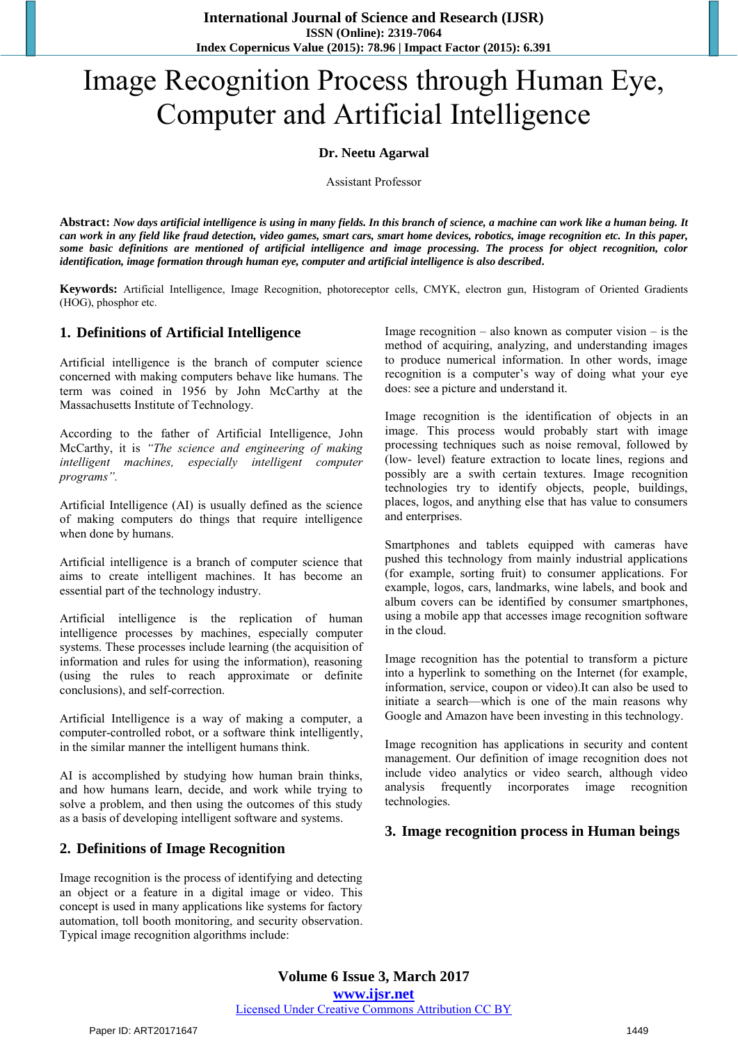**International Journal of Science and Research (IJSR) ISSN (Online): 2319-7064 Index Copernicus Value (2015): 78.96 | Impact Factor (2015): 6.391** 

# Image Recognition Process through Human Eye, Computer and Artificial Intelligence

#### **Dr. Neetu Agarwal**

Assistant Professor

**Abstract:** *Now days artificial intelligence is using in many fields. In this branch of science, a machine can work like a human being. It can work in any field like fraud detection, video games, smart cars, smart home devices, robotics, image recognition etc. In this paper, some basic definitions are mentioned of artificial intelligence and image processing. The process for object recognition, color identification, image formation through human eye, computer and artificial intelligence is also described.* 

**Keywords:** Artificial Intelligence, Image Recognition, photoreceptor cells, CMYK, electron gun, Histogram of Oriented Gradients (HOG), phosphor etc.

## **1. Definitions of Artificial Intelligence**

Artificial intelligence is the branch of computer science concerned with making computers behave like humans. The term was coined in 1956 by John McCarthy at the Massachusetts Institute of Technology.

According to the father of Artificial Intelligence, John McCarthy, it is *"The science and engineering of making intelligent machines, especially intelligent computer programs".*

Artificial Intelligence (AI) is usually defined as the science of making computers do things that require intelligence when done by humans.

Artificial intelligence is a branch of computer science that aims to create intelligent machines. It has become an essential part of the technology industry.

Artificial intelligence is the replication of human intelligence processes by machines, especially computer systems. These processes include learning (the acquisition of information and rules for using the information), reasoning (using the rules to reach approximate or definite conclusions), and self-correction.

Artificial Intelligence is a way of making a computer, a computer-controlled robot, or a software think intelligently, in the similar manner the intelligent humans think.

AI is accomplished by studying how human brain thinks, and how humans learn, decide, and work while trying to solve a problem, and then using the outcomes of this study as a basis of developing intelligent software and systems.

## **2. Definitions of Image Recognition**

Image recognition is the process of identifying and detecting an object or a feature in a digital image or video. This concept is used in many applications like systems for factory automation, toll booth monitoring, and security observation. Typical image recognition algorithms include:

Image recognition – also known as computer vision – is the method of acquiring, analyzing, and understanding images to produce numerical information. In other words, image recognition is a computer's way of doing what your eye does: see a picture and understand it.

Image recognition is the identification of objects in an image. This process would probably start with image processing techniques such as noise removal, followed by (low- level) feature extraction to locate lines, regions and possibly are a swith certain textures. Image recognition technologies try to identify objects, people, buildings, places, logos, and anything else that has value to consumers and enterprises.

Smartphones and tablets equipped with cameras have pushed this technology from mainly industrial applications (for example, sorting fruit) to consumer applications. For example, logos, cars, landmarks, wine labels, and book and album covers can be identified by consumer smartphones, using a mobile app that accesses image recognition software in the cloud.

Image recognition has the potential to transform a picture into a hyperlink to something on the Internet (for example, information, service, coupon or video).It can also be used to initiate a search—which is one of the main reasons why Google and Amazon have been investing in this technology.

Image recognition has applications in security and content management. Our definition of image recognition does not include video analytics or video search, although video analysis frequently incorporates image recognition technologies.

## **3. Image recognition process in Human beings**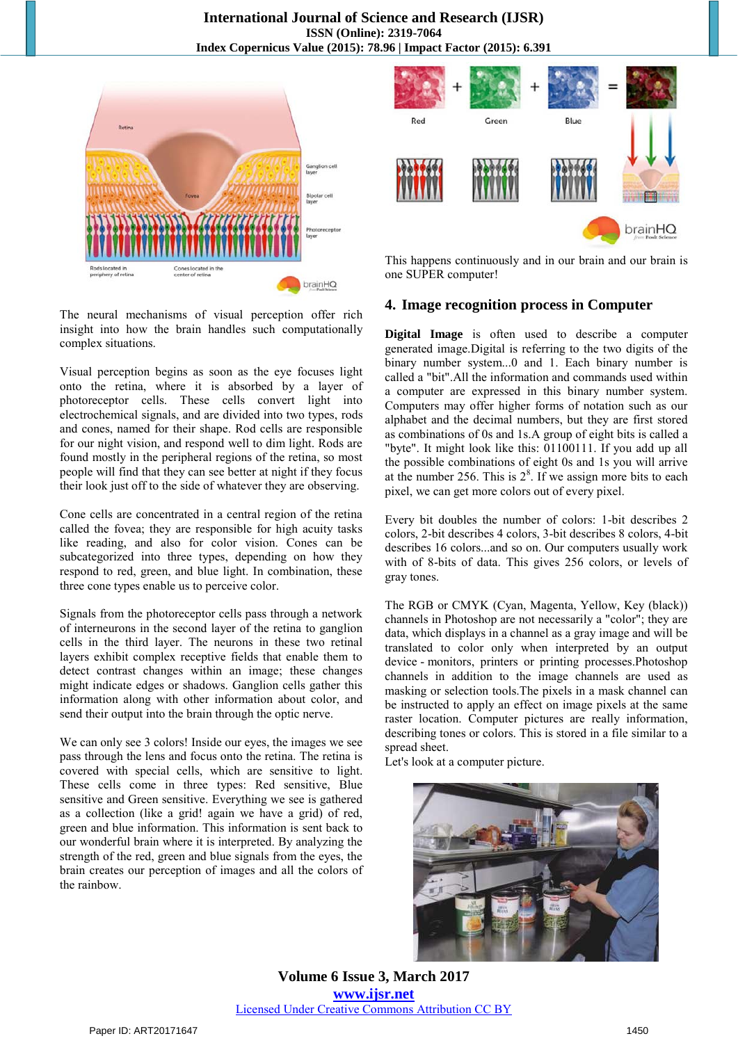

The neural mechanisms of visual perception offer rich insight into how the brain handles such computationally complex situations.

Visual perception begins as soon as the eye focuses light onto the retina, where it is absorbed by a layer of photoreceptor cells. These cells convert light into electrochemical signals, and are divided into two types, rods and cones, named for their shape. Rod cells are responsible for our night vision, and respond well to dim light. Rods are found mostly in the peripheral regions of the retina, so most people will find that they can see better at night if they focus their look just off to the side of whatever they are observing.

Cone cells are concentrated in a central region of the retina called the fovea; they are responsible for high acuity tasks like reading, and also for color vision. Cones can be subcategorized into three types, depending on how they respond to red, green, and blue light. In combination, these three cone types enable us to perceive color.

Signals from the photoreceptor cells pass through a network of interneurons in the second layer of the retina to ganglion cells in the third layer. The neurons in these two retinal layers exhibit complex receptive fields that enable them to detect contrast changes within an image; these changes might indicate edges or shadows. Ganglion cells gather this information along with other information about color, and send their output into the brain through the optic nerve.

We can only see 3 colors! Inside our eyes, the images we see pass through the lens and focus onto the retina. The retina is covered with special cells, which are sensitive to light. These cells come in three types: Red sensitive, Blue sensitive and Green sensitive. Everything we see is gathered as a collection (like a grid! again we have a grid) of red, green and blue information. This information is sent back to our wonderful brain where it is interpreted. By analyzing the strength of the red, green and blue signals from the eyes, the brain creates our perception of images and all the colors of the rainbow.



This happens continuously and in our brain and our brain is one SUPER computer!

## **4. Image recognition process in Computer**

**Digital Image** is often used to describe a computer generated image.Digital is referring to the two digits of the binary number system...0 and 1. Each binary number is called a "bit".All the information and commands used within a computer are expressed in this binary number system. Computers may offer higher forms of notation such as our alphabet and the decimal numbers, but they are first stored as combinations of 0s and 1s.A group of eight bits is called a "byte". It might look like this: 01100111. If you add up all the possible combinations of eight 0s and 1s you will arrive at the number 256. This is  $2<sup>8</sup>$ . If we assign more bits to each pixel, we can get more colors out of every pixel.

Every bit doubles the number of colors: 1-bit describes 2 colors, 2-bit describes 4 colors, 3-bit describes 8 colors, 4-bit describes 16 colors...and so on. Our computers usually work with of 8-bits of data. This gives 256 colors, or levels of gray tones.

The RGB or CMYK (Cyan, Magenta, Yellow, Key (black)) channels in Photoshop are not necessarily a "color"; they are data, which displays in a channel as a gray image and will be translated to color only when interpreted by an output device - monitors, printers or printing processes.Photoshop channels in addition to the image channels are used as masking or selection tools.The pixels in a mask channel can be instructed to apply an effect on image pixels at the same raster location. Computer pictures are really information, describing tones or colors. This is stored in a file similar to a spread sheet.

Let's look at a computer picture.



**Volume 6 Issue 3, March 2017 www.ijsr.net** Licensed Under Creative Commons Attribution CC BY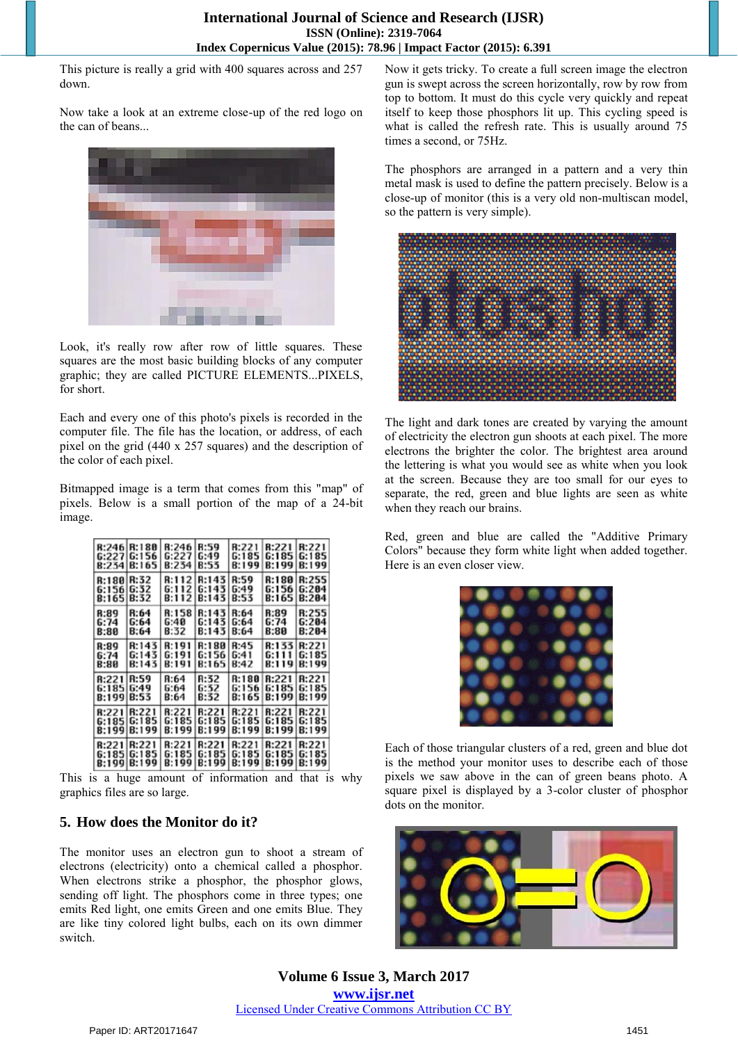This picture is really a grid with 400 squares across and 257 down.

Now take a look at an extreme close-up of the red logo on the can of beans...



Look, it's really row after row of little squares. These squares are the most basic building blocks of any computer graphic; they are called PICTURE ELEMENTS...PIXELS, for short.

Each and every one of this photo's pixels is recorded in the computer file. The file has the location, or address, of each pixel on the grid (440 x 257 squares) and the description of the color of each pixel.

Bitmapped image is a term that comes from this "map" of pixels. Below is a small portion of the map of a 24-bit image.

|                              | R:246 R:180                    | R:246                   | <b>R:59</b>             | R:221                   | R:221                   | <b>R:221</b>             |
|------------------------------|--------------------------------|-------------------------|-------------------------|-------------------------|-------------------------|--------------------------|
|                              | 6:227G:156                     | G:227                   | l G:49                  | G:185                   | G:185 I                 | G:185                    |
|                              | B:234 B:165                    | <b>B:234</b>            | B:53                    | B:199                   | B:199                   | <b>B:199</b>             |
| <b>R:180</b>                 | <b>R:32</b>                    | <b>B:112</b>            | R:143                   | <b>R:59</b>             | R:180                   | <b>R:255</b>             |
| 6:156                        | G:32                           | G:112                   | 6:143                   | G:49                    | G:156                   | 6:204                    |
| B:165                        | <b>B:32</b>                    | B:112                   | B:143                   | <b>B:53</b>             | B:165                   | <b>B:204</b>             |
| <b>R:89</b>                  | R:64                           | <b>R:158</b>            | R:143                   | R:64                    | R:89                    | <b>B:255</b>             |
| 6:74                         | G:64                           | G:40                    | G:143                   | G:64                    | 6:74                    | G:204                    |
| <b>B:80</b>                  | B:64                           | <b>B:32</b>             | B:143                   | <b>B:64</b>             | B:80                    | <b>B:204</b>             |
| <b>R:89</b>                  | R:143                          | R:191                   | R:180                   | <b>R:45</b>             | R:133                   | R:221                    |
| 6:74                         | 6:143                          | G:191                   | 6:156                   | 6:41                    | 6:111                   | 6:185                    |
| <b>B:80</b>                  | B:143                          | B:191                   | B:165                   | <b>B:42</b>             | B:119                   | B:199                    |
| <b>R:221</b>                 | <b>R:59</b>                    | R:64                    | R:32                    | R:180                   | R:221                   | <b>R:221</b>             |
| 6:185                        | 6:49                           | 6:64                    | 6:32                    | 6:156                   | 6:185                   | 6:185                    |
| <b>B:199</b>                 | <b>B:53</b>                    | B:64                    | B:32                    | <b>B:165</b>            | B:199                   | B:199                    |
| <b>B:221</b><br><b>B:199</b> | R:221<br>6:185 6:185<br> B:199 | R:221<br>G:185<br>B:199 | R:221<br>G:185<br>B:199 | R:221<br>G:185<br>B:199 | R:221<br>G:185<br>B:199 | R:221<br>G:185<br> B:199 |
| <b>R:221</b>                 | R:221                          | R:221                   | R:221                   | R:221                   | R:221                   | R:221                    |
|                              | 6:185 6:185                    | 6:185                   | 6:185                   | G:185                   | G:185                   | 6:185                    |
|                              | B:199 B:199                    | B:199                   | B:199                   | <b>B:199</b>            | B:199                   | B:199                    |

This is a huge amount of information and that is why graphics files are so large.

# **5. How does the Monitor do it?**

The monitor uses an electron gun to shoot a stream of electrons (electricity) onto a chemical called a phosphor. When electrons strike a phosphor, the phosphor glows, sending off light. The phosphors come in three types; one emits Red light, one emits Green and one emits Blue. They are like tiny colored light bulbs, each on its own dimmer switch.

Now it gets tricky. To create a full screen image the electron gun is swept across the screen horizontally, row by row from top to bottom. It must do this cycle very quickly and repeat itself to keep those phosphors lit up. This cycling speed is what is called the refresh rate. This is usually around 75 times a second, or 75Hz.

The phosphors are arranged in a pattern and a very thin metal mask is used to define the pattern precisely. Below is a close-up of monitor (this is a very old non-multiscan model, so the pattern is very simple).



The light and dark tones are created by varying the amount of electricity the electron gun shoots at each pixel. The more electrons the brighter the color. The brightest area around the lettering is what you would see as white when you look at the screen. Because they are too small for our eyes to separate, the red, green and blue lights are seen as white when they reach our brains.

Red, green and blue are called the "Additive Primary Colors" because they form white light when added together. Here is an even closer view.



Each of those triangular clusters of a red, green and blue dot is the method your monitor uses to describe each of those pixels we saw above in the can of green beans photo. A square pixel is displayed by a 3-color cluster of phosphor dots on the monitor.

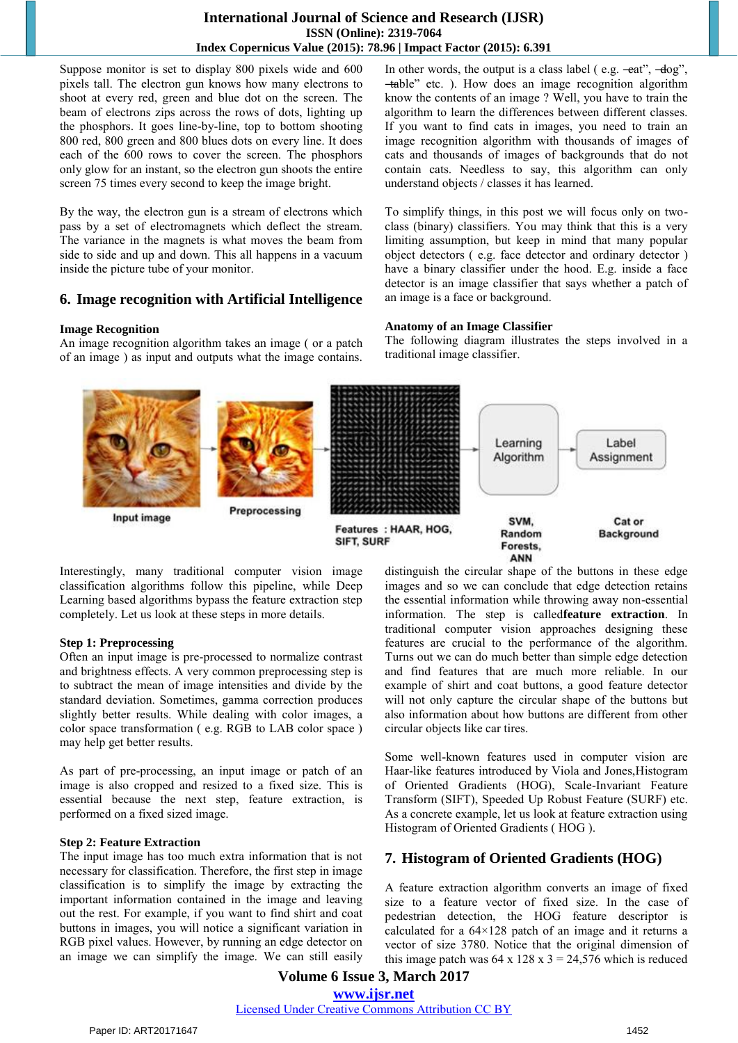## **International Journal of Science and Research (IJSR) ISSN (Online): 2319-7064 Index Copernicus Value (2015): 78.96 | Impact Factor (2015): 6.391**

Suppose monitor is set to display 800 pixels wide and 600 pixels tall. The electron gun knows how many electrons to shoot at every red, green and blue dot on the screen. The beam of electrons zips across the rows of dots, lighting up the phosphors. It goes line-by-line, top to bottom shooting 800 red, 800 green and 800 blues dots on every line. It does each of the 600 rows to cover the screen. The phosphors only glow for an instant, so the electron gun shoots the entire screen 75 times every second to keep the image bright.

By the way, the electron gun is a stream of electrons which pass by a set of electromagnets which deflect the stream. The variance in the magnets is what moves the beam from side to side and up and down. This all happens in a vacuum inside the picture tube of your monitor.

## **6. Image recognition with Artificial Intelligence**

#### **Image Recognition**

An image recognition algorithm takes an image ( or a patch of an image ) as input and outputs what the image contains. In other words, the output is a class label ( e.g.  $-eat$ <sup>"</sup>,  $-dog$ <sup>"</sup>, ―table‖ etc. ). How does an image recognition algorithm know the contents of an image ? Well, you have to train the algorithm to learn the differences between different classes. If you want to find cats in images, you need to train an image recognition algorithm with thousands of images of cats and thousands of images of backgrounds that do not contain cats. Needless to say, this algorithm can only understand objects / classes it has learned.

To simplify things, in this post we will focus only on twoclass (binary) classifiers. You may think that this is a very limiting assumption, but keep in mind that many popular object detectors ( e.g. face detector and ordinary detector ) have a binary classifier under the hood. E.g. inside a face detector is an image classifier that says whether a patch of an image is a face or background.

#### **Anatomy of an Image Classifier**

The following diagram illustrates the steps involved in a traditional image classifier.



Interestingly, many traditional computer vision image classification algorithms follow this pipeline, while Deep Learning based algorithms bypass the feature extraction step completely. Let us look at these steps in more details.

## **Step 1: Preprocessing**

Often an input image is pre-processed to normalize contrast and brightness effects. A very common preprocessing step is to subtract the mean of image intensities and divide by the standard deviation. Sometimes, gamma correction produces slightly better results. While dealing with color images, a color space transformation ( e.g. RGB to LAB color space ) may help get better results.

As part of pre-processing, an input image or patch of an image is also cropped and resized to a fixed size. This is essential because the next step, feature extraction, is performed on a fixed sized image.

## **Step 2: Feature Extraction**

The input image has too much extra information that is not necessary for classification. Therefore, the first step in image classification is to simplify the image by extracting the important information contained in the image and leaving out the rest. For example, if you want to find shirt and coat buttons in images, you will notice a significant variation in RGB pixel values. However, by running an edge detector on an image we can simplify the image. We can still easily distinguish the circular shape of the buttons in these edge images and so we can conclude that edge detection retains the essential information while throwing away non-essential information. The step is called**feature extraction**. In traditional computer vision approaches designing these features are crucial to the performance of the algorithm. Turns out we can do much better than simple edge detection and find features that are much more reliable. In our example of shirt and coat buttons, a good feature detector will not only capture the circular shape of the buttons but also information about how buttons are different from other circular objects like car tires.

Some well-known features used in computer vision are Haar-like features introduced by Viola and Jones,Histogram of Oriented Gradients (HOG), Scale-Invariant Feature Transform (SIFT), Speeded Up Robust Feature (SURF) etc. As a concrete example, let us look at feature extraction using Histogram of Oriented Gradients ( HOG ).

## **7. Histogram of Oriented Gradients (HOG)**

A feature extraction algorithm converts an image of fixed size to a feature vector of fixed size. In the case of pedestrian detection, the HOG feature descriptor is calculated for a 64×128 patch of an image and it returns a vector of size 3780. Notice that the original dimension of this image patch was  $64 \times 128 \times 3 = 24,576$  which is reduced

**Volume 6 Issue 3, March 2017 www.ijsr.net** Licensed Under Creative Commons Attribution CC BY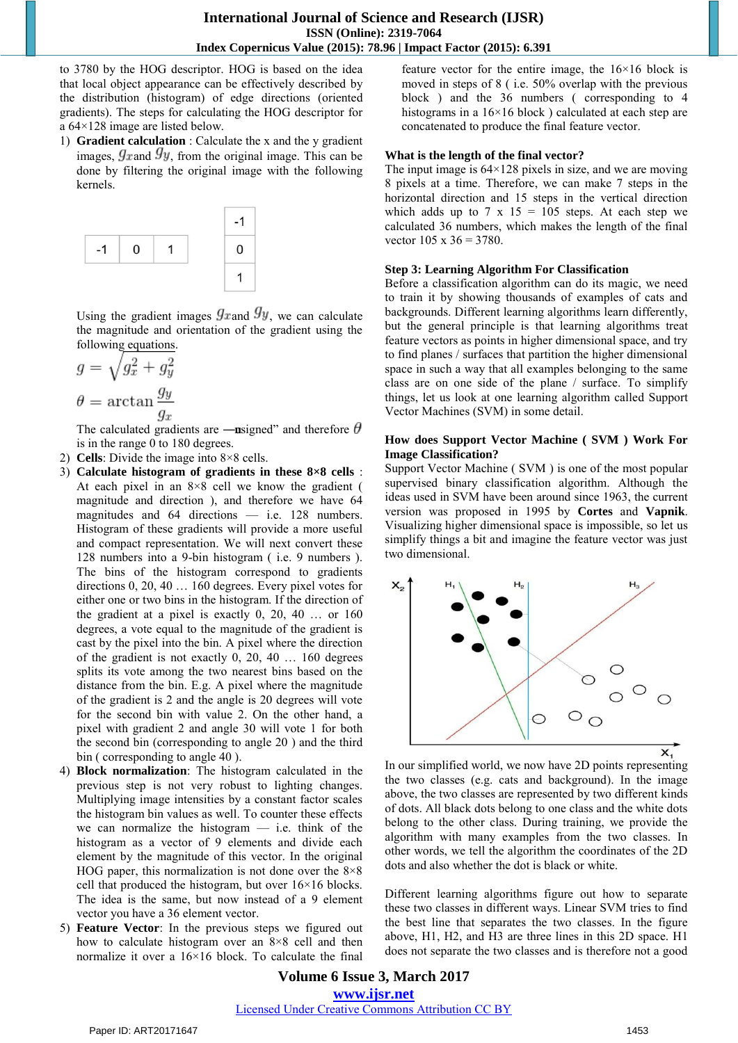to 3780 by the HOG descriptor. HOG is based on the idea that local object appearance can be effectively described by the distribution (histogram) of edge directions (oriented gradients). The steps for calculating the HOG descriptor for a 64×128 image are listed below.

1) **Gradient calculation** : Calculate the x and the y gradient images,  $g_{\text{rand}} g_y$ , from the original image. This can be done by filtering the original image with the following kernels.



Using the gradient images  $g_{\text{rand}} g_y$ , we can calculate the magnitude and orientation of the gradient using the following equations.

$$
g = \sqrt{g_x^2 + g_y^2}
$$

$$
\theta = \arctan{\frac{g_y}{g_x}}
$$

The calculated gradients are —unsigned" and therefore  $\theta$ is in the range 0 to 180 degrees.

- 2) **Cells**: Divide the image into 8×8 cells.
- 3) **Calculate histogram of gradients in these 8×8 cells** : At each pixel in an  $8\times 8$  cell we know the gradient ( magnitude and direction ), and therefore we have 64 magnitudes and 64 directions — i.e. 128 numbers. Histogram of these gradients will provide a more useful and compact representation. We will next convert these 128 numbers into a 9-bin histogram ( i.e. 9 numbers ). The bins of the histogram correspond to gradients directions 0, 20, 40 … 160 degrees. Every pixel votes for either one or two bins in the histogram. If the direction of the gradient at a pixel is exactly 0, 20, 40 … or 160 degrees, a vote equal to the magnitude of the gradient is cast by the pixel into the bin. A pixel where the direction of the gradient is not exactly 0, 20, 40 … 160 degrees splits its vote among the two nearest bins based on the distance from the bin. E.g. A pixel where the magnitude of the gradient is 2 and the angle is 20 degrees will vote for the second bin with value 2. On the other hand, a pixel with gradient 2 and angle 30 will vote 1 for both the second bin (corresponding to angle 20 ) and the third bin ( corresponding to angle 40 ).
- 4) **Block normalization**: The histogram calculated in the previous step is not very robust to lighting changes. Multiplying image intensities by a constant factor scales the histogram bin values as well. To counter these effects we can normalize the histogram  $-$  i.e. think of the histogram as a vector of 9 elements and divide each element by the magnitude of this vector. In the original HOG paper, this normalization is not done over the  $8\times8$ cell that produced the histogram, but over 16×16 blocks. The idea is the same, but now instead of a 9 element vector you have a 36 element vector.
- 5) **Feature Vector**: In the previous steps we figured out how to calculate histogram over an 8×8 cell and then normalize it over a 16×16 block. To calculate the final

feature vector for the entire image, the 16×16 block is moved in steps of 8 ( i.e. 50% overlap with the previous block ) and the 36 numbers ( corresponding to 4 histograms in a 16×16 block ) calculated at each step are concatenated to produce the final feature vector.

### **What is the length of the final vector?**

The input image is  $64 \times 128$  pixels in size, and we are moving 8 pixels at a time. Therefore, we can make 7 steps in the horizontal direction and 15 steps in the vertical direction which adds up to 7 x 15 = 105 steps. At each step we calculated 36 numbers, which makes the length of the final vector  $105 \times 36 = 3780$ .

#### **Step 3: Learning Algorithm For Classification**

Before a classification algorithm can do its magic, we need to train it by showing thousands of examples of cats and backgrounds. Different learning algorithms learn differently, but the general principle is that learning algorithms treat feature vectors as points in higher dimensional space, and try to find planes / surfaces that partition the higher dimensional space in such a way that all examples belonging to the same class are on one side of the plane / surface. To simplify things, let us look at one learning algorithm called Support Vector Machines (SVM) in some detail.

#### **How does Support Vector Machine ( SVM ) Work For Image Classification?**

Support Vector Machine ( SVM ) is one of the most popular supervised binary classification algorithm. Although the ideas used in SVM have been around since 1963, the current version was proposed in 1995 by **Cortes** and **Vapnik**. Visualizing higher dimensional space is impossible, so let us simplify things a bit and imagine the feature vector was just two dimensional.



In our simplified world, we now have 2D points representing the two classes (e.g. cats and background). In the image above, the two classes are represented by two different kinds of dots. All black dots belong to one class and the white dots belong to the other class. During training, we provide the algorithm with many examples from the two classes. In other words, we tell the algorithm the coordinates of the 2D dots and also whether the dot is black or white.

Different learning algorithms figure out how to separate these two classes in different ways. Linear SVM tries to find the best line that separates the two classes. In the figure above, H1, H2, and H3 are three lines in this 2D space. H1 does not separate the two classes and is therefore not a good

**Volume 6 Issue 3, March 2017 www.ijsr.net** Licensed Under Creative Commons Attribution CC BY